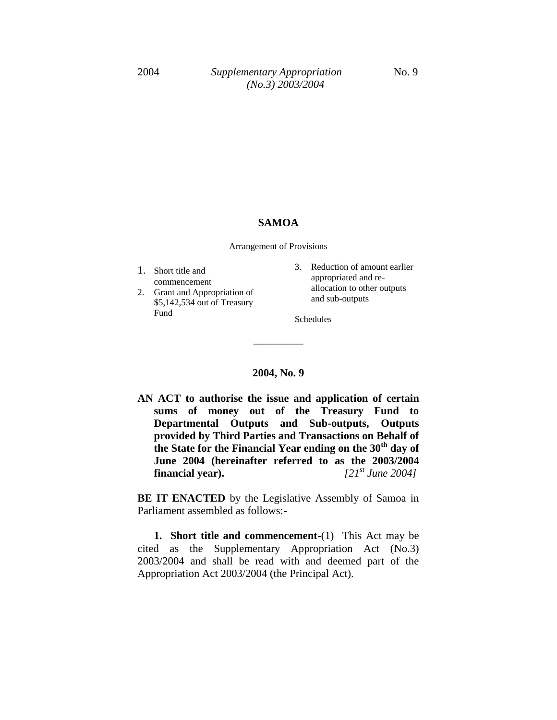#### **SAMOA**

Arrangement of Provisions

- 1. Short title and commencement
- 2. Grant and Appropriation of \$5,142,534 out of Treasury Fund
- 3. Reduction of amount earlier appropriated and reallocation to other outputs and sub-outputs

Schedules

#### **2004, No. 9**

\_\_\_\_\_\_\_\_\_\_\_

**AN ACT to authorise the issue and application of certain sums of money out of the Treasury Fund to Departmental Outputs and Sub-outputs, Outputs provided by Third Parties and Transactions on Behalf of the State for the Financial Year ending on the 30th day of June 2004 (hereinafter referred to as the 2003/2004 financial year).** *[21st June 2004]*

**BE IT ENACTED** by the Legislative Assembly of Samoa in Parliament assembled as follows:-

**1. Short title and commencement**-(1)This Act may be cited as the Supplementary Appropriation Act (No.3) 2003/2004 and shall be read with and deemed part of the Appropriation Act 2003/2004 (the Principal Act).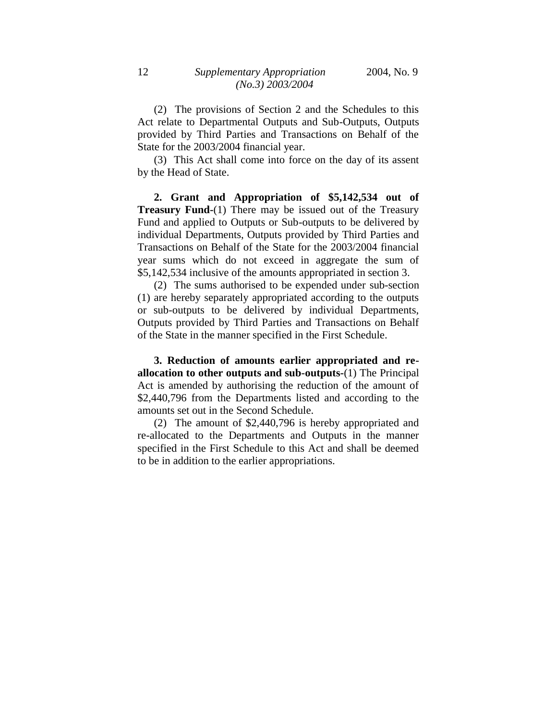(2) The provisions of Section 2 and the Schedules to this Act relate to Departmental Outputs and Sub-Outputs, Outputs provided by Third Parties and Transactions on Behalf of the State for the 2003/2004 financial year.

(3) This Act shall come into force on the day of its assent by the Head of State.

**2. Grant and Appropriation of \$5,142,534 out of Treasury Fund-**(1) There may be issued out of the Treasury Fund and applied to Outputs or Sub-outputs to be delivered by individual Departments, Outputs provided by Third Parties and Transactions on Behalf of the State for the 2003/2004 financial year sums which do not exceed in aggregate the sum of \$5,142,534 inclusive of the amounts appropriated in section 3.

(2) The sums authorised to be expended under sub-section (1) are hereby separately appropriated according to the outputs or sub-outputs to be delivered by individual Departments, Outputs provided by Third Parties and Transactions on Behalf of the State in the manner specified in the First Schedule.

**3. Reduction of amounts earlier appropriated and reallocation to other outputs and sub-outputs-**(1) The Principal Act is amended by authorising the reduction of the amount of \$2,440,796 from the Departments listed and according to the amounts set out in the Second Schedule.

(2) The amount of \$2,440,796 is hereby appropriated and re-allocated to the Departments and Outputs in the manner specified in the First Schedule to this Act and shall be deemed to be in addition to the earlier appropriations.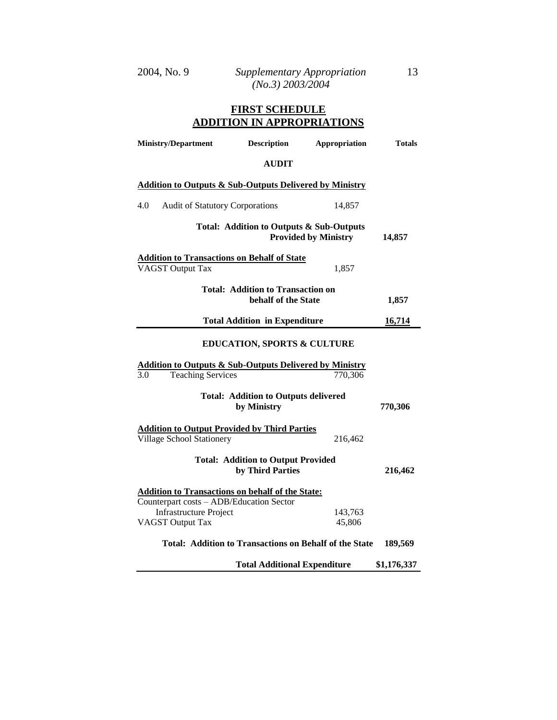# **FIRST SCHEDULE ADDITION IN APPROPRIATIONS**

| <b>Ministry/Department</b>                                                                            | <b>Description</b>                                              | Appropriation               | <b>Totals</b> |
|-------------------------------------------------------------------------------------------------------|-----------------------------------------------------------------|-----------------------------|---------------|
|                                                                                                       | <b>AUDIT</b>                                                    |                             |               |
| <b>Addition to Outputs &amp; Sub-Outputs Delivered by Ministry</b>                                    |                                                                 |                             |               |
| 4.0<br><b>Audit of Statutory Corporations</b>                                                         |                                                                 | 14,857                      |               |
|                                                                                                       | Total: Addition to Outputs & Sub-Outputs                        | <b>Provided by Ministry</b> | 14,857        |
| <b>Addition to Transactions on Behalf of State</b><br><b>VAGST Output Tax</b>                         |                                                                 | 1,857                       |               |
|                                                                                                       | <b>Total: Addition to Transaction on</b><br>behalf of the State |                             | 1,857         |
|                                                                                                       | <b>Total Addition in Expenditure</b>                            |                             | 16,714        |
| <b>EDUCATION, SPORTS &amp; CULTURE</b>                                                                |                                                                 |                             |               |
| <b>Addition to Outputs &amp; Sub-Outputs Delivered by Ministry</b><br><b>Teaching Services</b><br>3.0 |                                                                 | 770,306                     |               |
|                                                                                                       | <b>Total: Addition to Outputs delivered</b><br>by Ministry      |                             | 770,306       |
| <b>Addition to Output Provided by Third Parties</b><br>Village School Stationery                      |                                                                 | 216,462                     |               |
|                                                                                                       | <b>Total: Addition to Output Provided</b><br>by Third Parties   |                             | 216,462       |
| <b>Addition to Transactions on behalf of the State:</b><br>Counterpart costs - ADB/Education Sector   |                                                                 |                             |               |
| <b>Infrastructure Project</b><br><b>VAGST Output Tax</b>                                              |                                                                 | 143,763<br>45,806           |               |
|                                                                                                       | Total: Addition to Transactions on Behalf of the State          |                             | 189,569       |
|                                                                                                       | <b>Total Additional Expenditure</b>                             |                             | \$1,176,337   |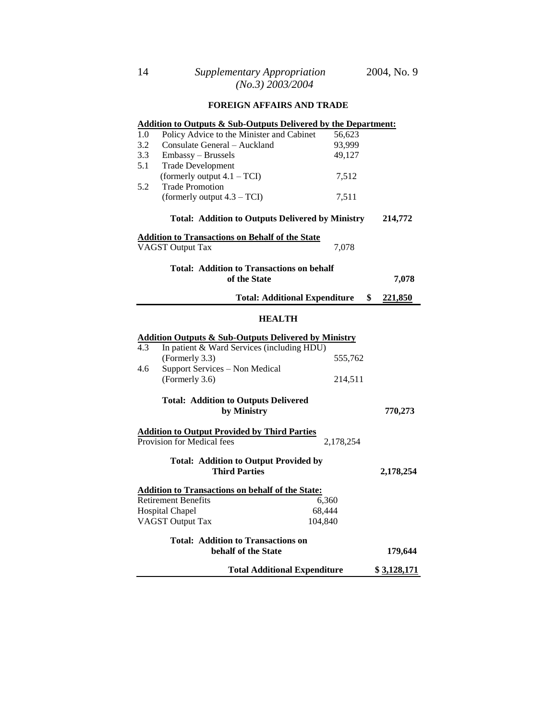## **FOREIGN AFFAIRS AND TRADE**

|                                           | <b>Addition to Outputs &amp; Sub-Outputs Delivered by the Department:</b> |           |           |
|-------------------------------------------|---------------------------------------------------------------------------|-----------|-----------|
| 1.0                                       | Policy Advice to the Minister and Cabinet                                 | 56,623    |           |
| 3.2                                       | Consulate General – Auckland                                              | 93,999    |           |
| 3.3                                       | Embassy - Brussels                                                        | 49,127    |           |
| 5.1                                       | <b>Trade Development</b>                                                  |           |           |
|                                           | (formerly output $4.1 - TCI$ )                                            | 7,512     |           |
| 5.2                                       | <b>Trade Promotion</b>                                                    |           |           |
|                                           | (formerly output $4.3 - TCI$ )                                            | 7,511     |           |
|                                           | <b>Total: Addition to Outputs Delivered by Ministry</b>                   |           | 214,772   |
|                                           | <b>Addition to Transactions on Behalf of the State</b>                    |           |           |
|                                           | <b>VAGST Output Tax</b>                                                   | 7,078     |           |
|                                           | <b>Total: Addition to Transactions on behalf</b>                          |           |           |
|                                           | of the State                                                              |           | 7,078     |
|                                           | <b>Total: Additional Expenditure</b>                                      | \$        | 221,850   |
|                                           | <b>HEALTH</b>                                                             |           |           |
|                                           |                                                                           |           |           |
|                                           | <b>Addition Outputs &amp; Sub-Outputs Delivered by Ministry</b>           |           |           |
| 4.3                                       | In patient & Ward Services (including HDU)                                |           |           |
|                                           | (Formerly 3.3)                                                            | 555,762   |           |
| 4.6                                       | Support Services - Non Medical                                            |           |           |
|                                           | (Formerly 3.6)                                                            | 214,511   |           |
|                                           | <b>Total: Addition to Outputs Delivered</b>                               |           |           |
|                                           | by Ministry                                                               |           | 770,273   |
|                                           | <b>Addition to Output Provided by Third Parties</b>                       |           |           |
|                                           | Provision for Medical fees                                                | 2,178,254 |           |
|                                           |                                                                           |           |           |
|                                           | <b>Total: Addition to Output Provided by</b>                              |           |           |
|                                           | <b>Third Parties</b>                                                      |           | 2,178,254 |
|                                           | <b>Addition to Transactions on behalf of the State:</b>                   |           |           |
|                                           | <b>Retirement Benefits</b>                                                | 6,360     |           |
|                                           | Hospital Chapel<br>68,444                                                 |           |           |
|                                           | <b>VAGST Output Tax</b><br>104,840                                        |           |           |
| <b>Total: Addition to Transactions on</b> |                                                                           |           |           |
| behalf of the State<br>179,644            |                                                                           |           |           |
|                                           | \$3,128,171<br><b>Total Additional Expenditure</b>                        |           |           |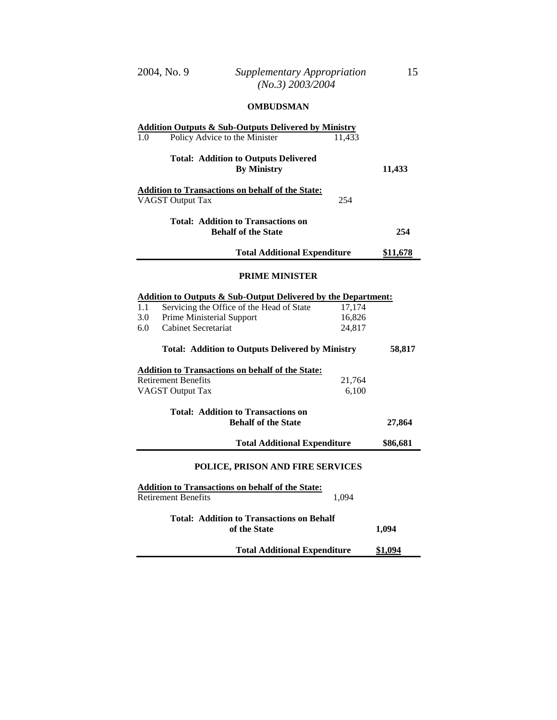#### **OMBUDSMAN**

| <b>Addition Outputs &amp; Sub-Outputs Delivered by Ministry</b><br>Policy Advice to the Minister<br>1.0 | 11,433 |                 |  |
|---------------------------------------------------------------------------------------------------------|--------|-----------------|--|
| <b>Total: Addition to Outputs Delivered</b><br><b>By Ministry</b>                                       |        | 11,433          |  |
| <b>Addition to Transactions on behalf of the State:</b><br><b>VAGST Output Tax</b>                      | 254    |                 |  |
| <b>Total: Addition to Transactions on</b><br><b>Behalf of the State</b>                                 |        | 254             |  |
| <b>Total Additional Expenditure</b>                                                                     |        | <u>\$11,678</u> |  |
| <b>PRIME MINISTER</b>                                                                                   |        |                 |  |
| <b>Addition to Outputs &amp; Sub-Output Delivered by the Department:</b>                                |        |                 |  |
| Servicing the Office of the Head of State<br>1.1                                                        | 17,174 |                 |  |
| <b>Prime Ministerial Support</b><br>3.0                                                                 | 16,826 |                 |  |
| <b>Cabinet Secretariat</b><br>6.0                                                                       | 24,817 |                 |  |
|                                                                                                         |        |                 |  |
| <b>Total: Addition to Outputs Delivered by Ministry</b>                                                 |        | 58,817          |  |
| <b>Addition to Transactions on behalf of the State:</b>                                                 |        |                 |  |
| <b>Retirement Benefits</b>                                                                              | 21,764 |                 |  |
| <b>VAGST Output Tax</b>                                                                                 | 6,100  |                 |  |
| <b>Total: Addition to Transactions on</b><br><b>Behalf of the State</b><br>27,864                       |        |                 |  |
| <b>Total Additional Expenditure</b>                                                                     |        | \$86,681        |  |
| POLICE, PRISON AND FIRE SERVICES                                                                        |        |                 |  |
| <b>Addition to Transactions on behalf of the State:</b><br><b>Retirement Benefits</b><br>1,094          |        |                 |  |
| <b>Total: Addition to Transactions on Behalf</b><br>of the State                                        |        | 1,094           |  |
| <b>Total Additional Expenditure</b>                                                                     |        | \$1,094         |  |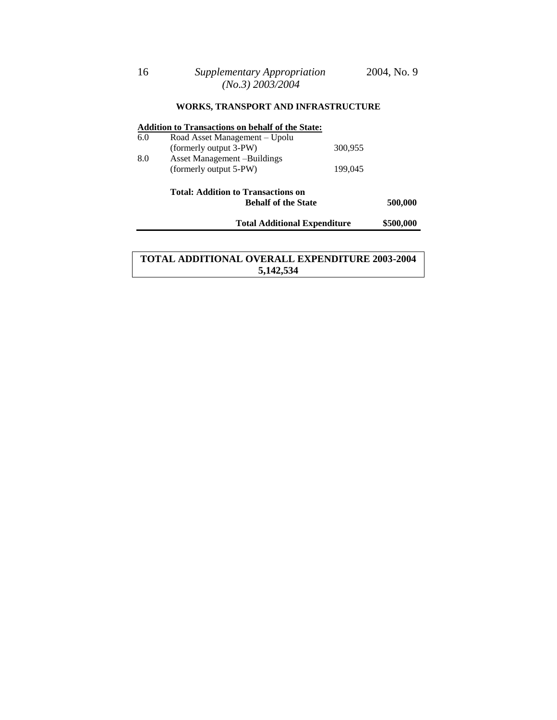## **WORKS, TRANSPORT AND INFRASTRUCTURE**

#### **Addition to Transactions on behalf of the State:**

| 6.0 | Road Asset Management – Upolu |         |
|-----|-------------------------------|---------|
|     | (formerly output 3-PW)        | 300.955 |
| 8.0 | Asset Management –Buildings   |         |
|     | (formerly output 5-PW)        | 199,045 |

## **Total: Addition to Transactions on Behalf of the State 500,000**

**Total Additional Expenditure \$500,000**

## **TOTAL ADDITIONAL OVERALL EXPENDITURE 2003-2004 5,142,534**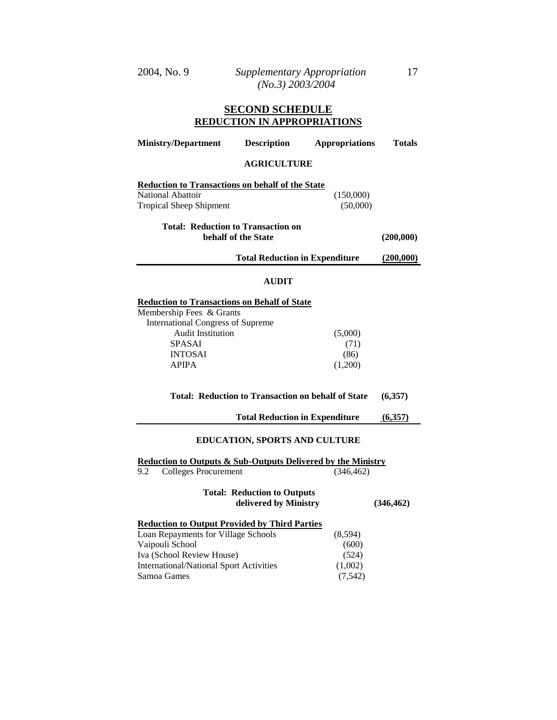#### **SECOND SCHEDULE REDUCTION IN APPROPRIATIONS**

| <b>Ministry/Department</b>                                                                                     | <b>Description</b>                                          | <b>Appropriations</b> | <b>Totals</b> |
|----------------------------------------------------------------------------------------------------------------|-------------------------------------------------------------|-----------------------|---------------|
|                                                                                                                | <b>AGRICULTURE</b>                                          |                       |               |
| <b>Reduction to Transactions on behalf of the State</b><br>National Abattoir<br><b>Tropical Sheep Shipment</b> |                                                             | (150,000)<br>(50,000) |               |
| <b>Total: Reduction to Transaction on</b>                                                                      | behalf of the State                                         |                       | (200,000)     |
|                                                                                                                | <b>Total Reduction in Expenditure</b>                       |                       | (200,000)     |
|                                                                                                                | <b>AUDIT</b>                                                |                       |               |
| <b>Reduction to Transactions on Behalf of State</b>                                                            |                                                             |                       |               |
| Membership Fees & Grants<br><b>International Congress of Supreme</b>                                           |                                                             |                       |               |
| <b>Audit Institution</b><br><b>SPASAI</b>                                                                      |                                                             | (5,000)<br>(71)       |               |
| <b>INTOSAI</b>                                                                                                 |                                                             | (86)                  |               |
| <b>APIPA</b>                                                                                                   |                                                             | (1,200)               |               |
| <b>Total: Reduction to Transaction on behalf of State</b><br>(6,357)                                           |                                                             |                       |               |
|                                                                                                                | <b>Total Reduction in Expenditure</b>                       |                       | (6,357)       |
| <b>EDUCATION, SPORTS AND CULTURE</b>                                                                           |                                                             |                       |               |
| <b>Reduction to Outputs &amp; Sub-Outputs Delivered by the Ministry</b>                                        |                                                             |                       |               |
| <b>Colleges Procurement</b><br>9.2                                                                             |                                                             | (346, 462)            |               |
|                                                                                                                | <b>Total: Reduction to Outputs</b><br>delivered by Ministry |                       | (346, 462)    |
| <b>Reduction to Output Provided by Third Parties</b>                                                           |                                                             |                       |               |
| Loan Repayments for Village Schools                                                                            |                                                             | (8,594)               |               |
| Vaipouli School                                                                                                |                                                             | (600)                 |               |
| Iva (School Review House)                                                                                      |                                                             | (524)                 |               |
| <b>International/National Sport Activities</b>                                                                 |                                                             | (1,002)               |               |
| Samoa Games                                                                                                    |                                                             | (7, 542)              |               |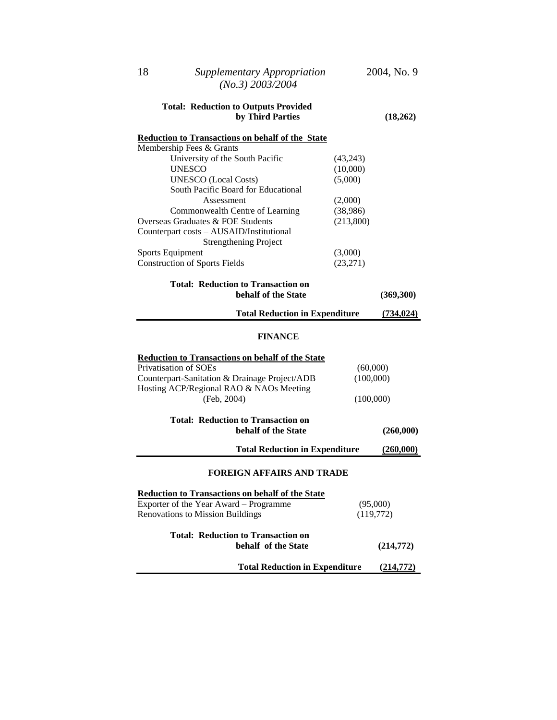| 18                                                       | <b>Supplementary Appropriation</b><br>$(No.3)$ 2003/2004                                                                                                           |                                    | 2004, No. 9           |
|----------------------------------------------------------|--------------------------------------------------------------------------------------------------------------------------------------------------------------------|------------------------------------|-----------------------|
|                                                          | <b>Total: Reduction to Outputs Provided</b><br>by Third Parties                                                                                                    |                                    | (18,262)              |
| Membership Fees & Grants                                 | <b>Reduction to Transactions on behalf of the State</b><br>University of the South Pacific                                                                         | (43,243)                           |                       |
| <b>UNESCO</b>                                            | <b>UNESCO</b> (Local Costs)<br>South Pacific Board for Educational                                                                                                 | (10,000)<br>(5,000)                |                       |
|                                                          | Assessment<br>Commonwealth Centre of Learning<br>Overseas Graduates & FOE Students<br>Counterpart costs - AUSAID/Institutional                                     | (2,000)<br>(38,986)<br>(213,800)   |                       |
| Sports Equipment<br><b>Construction of Sports Fields</b> | <b>Strengthening Project</b>                                                                                                                                       | (3,000)<br>(23, 271)               |                       |
|                                                          | <b>Total: Reduction to Transaction on</b><br>behalf of the State                                                                                                   |                                    | (369, 300)            |
|                                                          | <b>Total Reduction in Expenditure</b>                                                                                                                              |                                    | (734, 024)            |
|                                                          | <b>FINANCE</b>                                                                                                                                                     |                                    |                       |
| Privatisation of SOEs                                    | <b>Reduction to Transactions on behalf of the State</b><br>Counterpart-Sanitation & Drainage Project/ADB<br>Hosting ACP/Regional RAO & NAOs Meeting<br>(Feb, 2004) | (60,000)<br>(100,000)<br>(100,000) |                       |
|                                                          | <b>Total: Reduction to Transaction on</b><br>behalf of the State                                                                                                   |                                    | (260,000)             |
|                                                          | <b>Total Reduction in Expenditure</b>                                                                                                                              |                                    | (260,000)             |
|                                                          | <b>FOREIGN AFFAIRS AND TRADE</b>                                                                                                                                   |                                    |                       |
|                                                          | <b>Reduction to Transactions on behalf of the State</b><br>Exporter of the Year Award - Programme<br><b>Renovations to Mission Buildings</b>                       |                                    | (95,000)<br>(119,772) |
|                                                          | <b>Total: Reduction to Transaction on</b><br>behalf of the State                                                                                                   |                                    | (214,772)             |
|                                                          | <b>Total Reduction in Expenditure</b>                                                                                                                              |                                    | (214,772)             |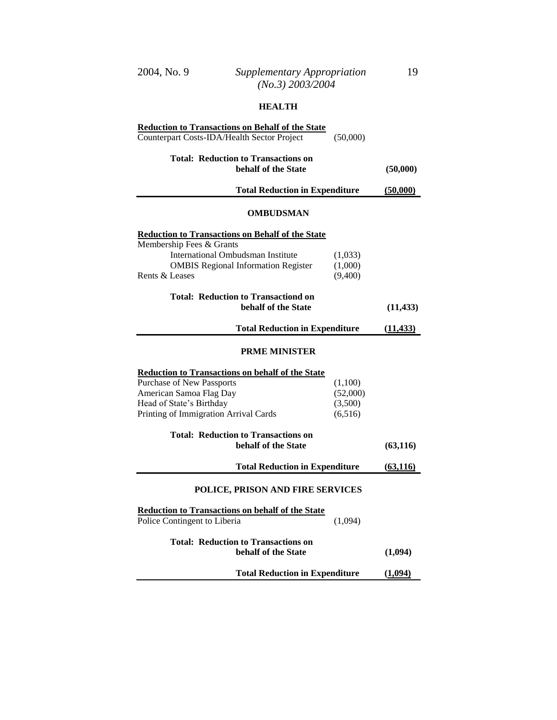# **HEALTH**

| <b>Reduction to Transactions on Behalf of the State</b>                                                                       |                               |                        |
|-------------------------------------------------------------------------------------------------------------------------------|-------------------------------|------------------------|
| Counterpart Costs-IDA/Health Sector Project                                                                                   | (50,000)                      |                        |
| <b>Total: Reduction to Transactions on</b><br>behalf of the State                                                             |                               | (50,000)               |
| <b>Total Reduction in Expenditure</b>                                                                                         |                               | (50,000)               |
| OMBUDSMAN                                                                                                                     |                               |                        |
| <b>Reduction to Transactions on Behalf of the State</b>                                                                       |                               |                        |
| Membership Fees & Grants<br>International Ombudsman Institute<br><b>OMBIS Regional Information Register</b><br>Rents & Leases | (1,033)<br>(1,000)<br>(9,400) |                        |
| <b>Total: Reduction to Transactiond on</b><br>behalf of the State                                                             |                               | (11, 433)              |
| <b>Total Reduction in Expenditure</b>                                                                                         |                               | (11, 433)              |
| <b>PRME MINISTER</b>                                                                                                          |                               |                        |
| <b>Reduction to Transactions on behalf of the State</b>                                                                       |                               |                        |
| Purchase of New Passports                                                                                                     | (1,100)                       |                        |
| American Samoa Flag Day                                                                                                       | (52,000)                      |                        |
| Head of State's Birthday                                                                                                      | (3,500)                       |                        |
| Printing of Immigration Arrival Cards                                                                                         | (6,516)                       |                        |
| <b>Total: Reduction to Transactions on</b><br>behalf of the State                                                             |                               | (63, 116)              |
| <b>Total Reduction in Expenditure</b>                                                                                         |                               | $\underline{(63,116)}$ |
| POLICE, PRISON AND FIRE SERVICES                                                                                              |                               |                        |
| <b>Reduction to Transactions on behalf of the State</b><br>Police Contingent to Liberia                                       | (1,094)                       |                        |
| <b>Total: Reduction to Transactions on</b><br>behalf of the State                                                             |                               | (1,094)                |
| <b>Total Reduction in Expenditure</b>                                                                                         |                               | (1,094)                |